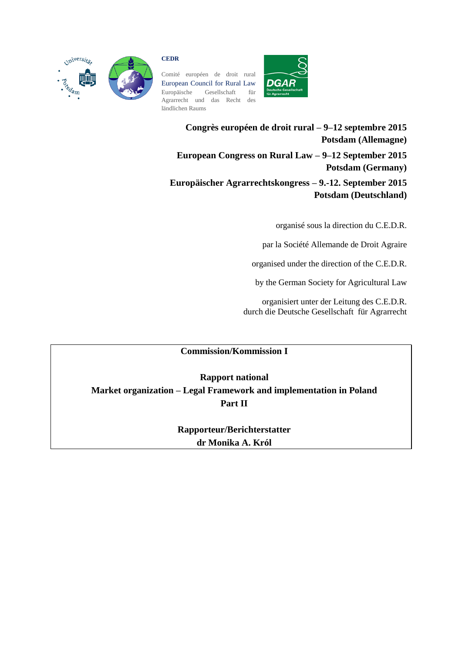

## **CEDR**

Comité européen de droit rural European Council for Rural Law Europäische Gesellschaft für Agrarrecht und das Recht des ländlichen Raums



**Congrès européen de droit rural – 9–12 septembre 2015 Potsdam (Allemagne) European Congress on Rural Law – 9–12 September 2015 Potsdam (Germany) Europäischer Agrarrechtskongress – 9.-12. September 2015 Potsdam (Deutschland)**

organisé sous la direction du C.E.D.R.

par la Société Allemande de Droit Agraire

organised under the direction of the C.E.D.R.

by the German Society for Agricultural Law

organisiert unter der Leitung des C.E.D.R. durch die Deutsche Gesellschaft für Agrarrecht

# **Commission/Kommission I**

**Rapport national Market organization – Legal Framework and implementation in Poland Part II**

> **Rapporteur/Berichterstatter dr Monika A. Król**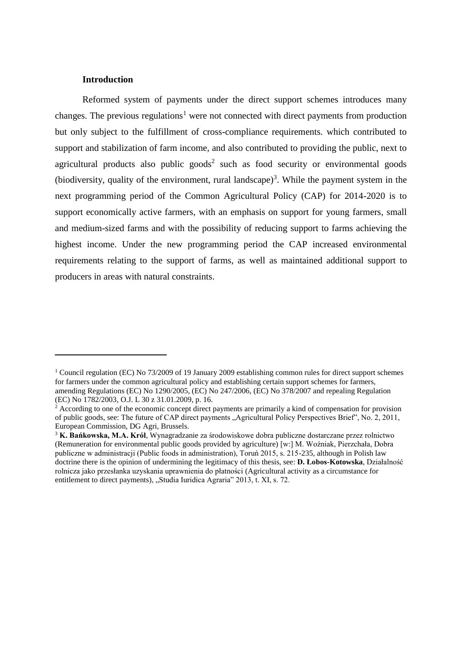## **Introduction**

 $\overline{a}$ 

Reformed system of payments under the direct support schemes introduces many changes. The previous regulations<sup>1</sup> were not connected with direct payments from production but only subject to the fulfillment of cross-compliance requirements. which contributed to support and stabilization of farm income, and also contributed to providing the public, next to agricultural products also public  $\text{goods}^2$  such as food security or environmental goods (biodiversity, quality of the environment, rural landscape)<sup>3</sup>. While the payment system in the next programming period of the Common Agricultural Policy (CAP) for 2014-2020 is to support economically active farmers, with an emphasis on support for young farmers, small and medium-sized farms and with the possibility of reducing support to farms achieving the highest income. Under the new programming period the CAP increased environmental requirements relating to the support of farms, as well as maintained additional support to producers in areas with natural constraints.

<sup>&</sup>lt;sup>1</sup> Council regulation (EC) No 73/2009 of 19 January 2009 establishing common rules for direct support schemes for farmers under the common agricultural policy and establishing certain support schemes for farmers, amending Regulations (EC) No 1290/2005, (EC) No 247/2006, (EC) No 378/2007 and repealing Regulation (EC) No 1782/2003, O.J. L 30 z 31.01.2009, p. 16.

<sup>&</sup>lt;sup>2</sup> According to one of the economic concept direct payments are primarily a kind of compensation for provision of public goods, see: The future of CAP direct payments "Agricultural Policy Perspectives Brief", No. 2, 2011, European Commission, DG Agri, Brussels.

<sup>3</sup> **K. Bańkowska, M.A. Król**, Wynagradzanie za środowiskowe dobra publiczne dostarczane przez rolnictwo (Remuneration for environmental public goods provided by agriculture) [w:] M. Woźniak, Pierzchała, Dobra publiczne w administracji (Public foods in administration), Toruń 2015, s. 215-235, although in Polish law doctrine there is the opinion of undermining the legitimacy of this thesis, see: **D. Łobos-Kotowska**, Działalność rolnicza jako przesłanka uzyskania uprawnienia do płatności (Agricultural activity as a circumstance for entitlement to direct payments), "Studia Iuridica Agraria" 2013, t. XI, s. 72.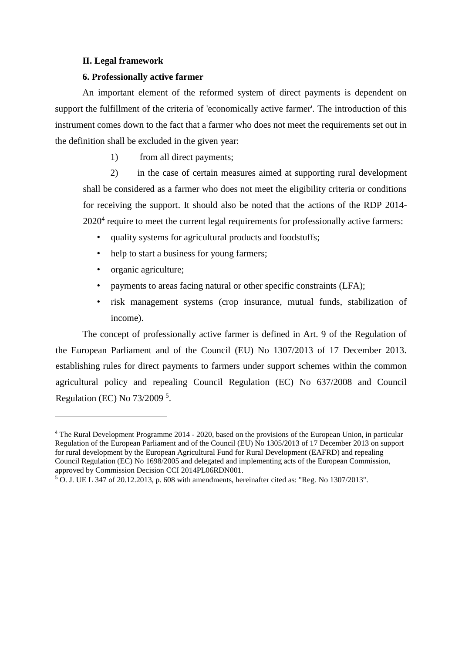# **II. Legal framework**

## **6. Professionally active farmer**

An important element of the reformed system of direct payments is dependent on support the fulfillment of the criteria of 'economically active farmer'. The introduction of this instrument comes down to the fact that a farmer who does not meet the requirements set out in the definition shall be excluded in the given year:

1) from all direct payments;

2) in the case of certain measures aimed at supporting rural development shall be considered as a farmer who does not meet the eligibility criteria or conditions for receiving the support. It should also be noted that the actions of the RDP 2014-  $2020<sup>4</sup>$  require to meet the current legal requirements for professionally active farmers:

- quality systems for agricultural products and foodstuffs;
- help to start a business for young farmers;
- organic agriculture;

 $\overline{a}$ 

- payments to areas facing natural or other specific constraints (LFA);
- risk management systems (crop insurance, mutual funds, stabilization of income).

The concept of professionally active farmer is defined in Art. 9 of the Regulation of the European Parliament and of the Council (EU) No 1307/2013 of 17 December 2013. establishing rules for direct payments to farmers under support schemes within the common agricultural policy and repealing Council Regulation (EC) No 637/2008 and Council Regulation (EC) No 73/2009<sup>5</sup>.

<sup>4</sup> The Rural Development Programme 2014 - 2020, based on the provisions of the European Union, in particular Regulation of the European Parliament and of the Council (EU) No 1305/2013 of 17 December 2013 on support for rural development by the European Agricultural Fund for Rural Development (EAFRD) and repealing Council Regulation (EC) No 1698/2005 and delegated and implementing acts of the European Commission, approved by Commission Decision CCI 2014PL06RDN001.

 $5$  O. J. UE L 347 of 20.12.2013, p. 608 with amendments, hereinafter cited as: "Reg. No 1307/2013".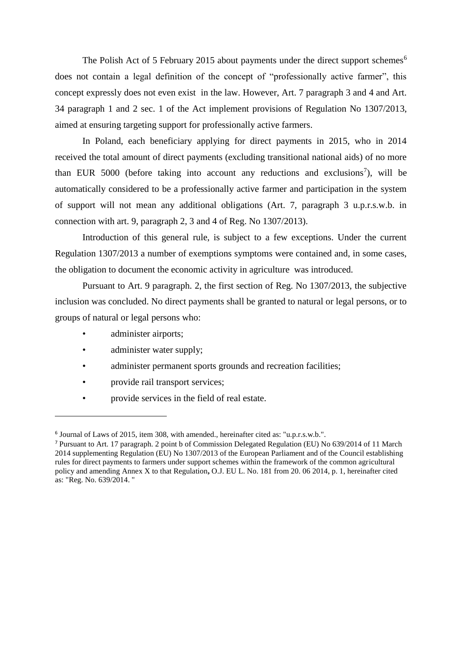The Polish Act of 5 February 2015 about payments under the direct support schemes<sup>6</sup> does not contain a legal definition of the concept of "professionally active farmer", this concept expressly does not even exist in the law. However, Art. 7 paragraph 3 and 4 and Art. 34 paragraph 1 and 2 sec. 1 of the Act implement provisions of Regulation No 1307/2013, aimed at ensuring targeting support for professionally active farmers.

In Poland, each beneficiary applying for direct payments in 2015, who in 2014 received the total amount of direct payments (excluding transitional national aids) of no more than EUR  $5000$  (before taking into account any reductions and exclusions<sup>7</sup>), will be automatically considered to be a professionally active farmer and participation in the system of support will not mean any additional obligations (Art. 7, paragraph 3 u.p.r.s.w.b. in connection with art. 9, paragraph 2, 3 and 4 of Reg. No 1307/2013).

Introduction of this general rule, is subject to a few exceptions. Under the current Regulation 1307/2013 a number of exemptions symptoms were contained and, in some cases, the obligation to document the economic activity in agriculture was introduced.

Pursuant to Art. 9 paragraph. 2, the first section of Reg. No 1307/2013, the subjective inclusion was concluded. No direct payments shall be granted to natural or legal persons, or to groups of natural or legal persons who:

administer airports;

- administer water supply;
- administer permanent sports grounds and recreation facilities;
- provide rail transport services;
- provide services in the field of real estate.

<sup>&</sup>lt;sup>6</sup> Journal of Laws of 2015, item 308, with amended., hereinafter cited as: "u.p.r.s.w.b.".

<sup>7</sup> Pursuant to Art. 17 paragraph. 2 point b of Commission Delegated Regulation (EU) No 639/2014 of 11 March 2014 supplementing Regulation (EU) No 1307/2013 of the European Parliament and of the Council establishing rules for direct payments to farmers under support schemes within the framework of the common agricultural policy and amending Annex X to that Regulation**,** O.J. EU L. No. 181 from 20. 06 2014, p. 1, hereinafter cited as: "Reg. No. 639/2014. "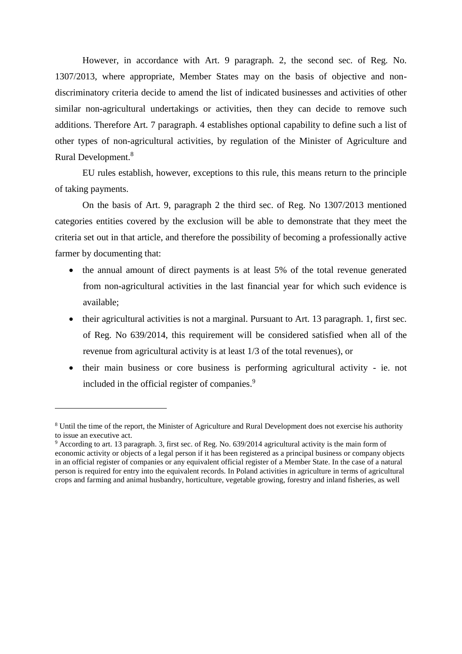However, in accordance with Art. 9 paragraph. 2, the second sec. of Reg. No. 1307/2013, where appropriate, Member States may on the basis of objective and nondiscriminatory criteria decide to amend the list of indicated businesses and activities of other similar non-agricultural undertakings or activities, then they can decide to remove such additions. Therefore Art. 7 paragraph. 4 establishes optional capability to define such a list of other types of non-agricultural activities, by regulation of the Minister of Agriculture and Rural Development.<sup>8</sup>

EU rules establish, however, exceptions to this rule, this means return to the principle of taking payments.

On the basis of Art. 9, paragraph 2 the third sec. of Reg. No 1307/2013 mentioned categories entities covered by the exclusion will be able to demonstrate that they meet the criteria set out in that article, and therefore the possibility of becoming a professionally active farmer by documenting that:

- the annual amount of direct payments is at least 5% of the total revenue generated from non-agricultural activities in the last financial year for which such evidence is available;
- their agricultural activities is not a marginal. Pursuant to Art. 13 paragraph. 1, first sec. of Reg. No 639/2014, this requirement will be considered satisfied when all of the revenue from agricultural activity is at least 1/3 of the total revenues), or
- their main business or core business is performing agricultural activity ie. not included in the official register of companies.<sup>9</sup>

<sup>8</sup> Until the time of the report, the Minister of Agriculture and Rural Development does not exercise his authority to issue an executive act.

<sup>9</sup> According to art. 13 paragraph. 3, first sec. of Reg. No. 639/2014 agricultural activity is the main form of economic activity or objects of a legal person if it has been registered as a principal business or company objects in an official register of companies or any equivalent official register of a Member State. In the case of a natural person is required for entry into the equivalent records. In Poland activities in agriculture in terms of agricultural crops and farming and animal husbandry, horticulture, vegetable growing, forestry and inland fisheries, as well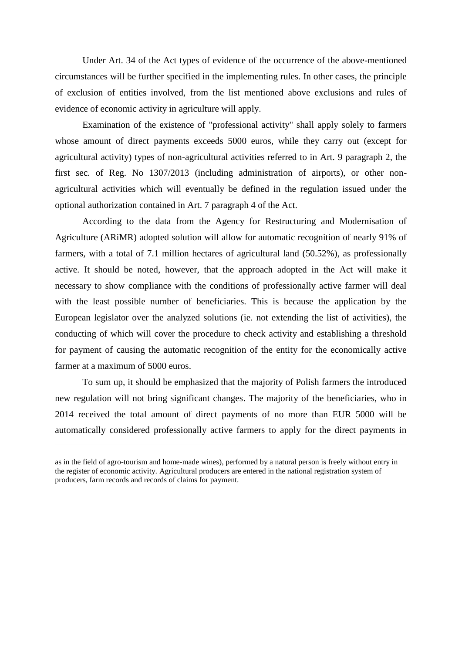Under Art. 34 of the Act types of evidence of the occurrence of the above-mentioned circumstances will be further specified in the implementing rules. In other cases, the principle of exclusion of entities involved, from the list mentioned above exclusions and rules of evidence of economic activity in agriculture will apply.

Examination of the existence of "professional activity" shall apply solely to farmers whose amount of direct payments exceeds 5000 euros, while they carry out (except for agricultural activity) types of non-agricultural activities referred to in Art. 9 paragraph 2, the first sec. of Reg. No 1307/2013 (including administration of airports), or other nonagricultural activities which will eventually be defined in the regulation issued under the optional authorization contained in Art. 7 paragraph 4 of the Act.

According to the data from the Agency for Restructuring and Modernisation of Agriculture (ARiMR) adopted solution will allow for automatic recognition of nearly 91% of farmers, with a total of 7.1 million hectares of agricultural land (50.52%), as professionally active. It should be noted, however, that the approach adopted in the Act will make it necessary to show compliance with the conditions of professionally active farmer will deal with the least possible number of beneficiaries. This is because the application by the European legislator over the analyzed solutions (ie. not extending the list of activities), the conducting of which will cover the procedure to check activity and establishing a threshold for payment of causing the automatic recognition of the entity for the economically active farmer at a maximum of 5000 euros.

To sum up, it should be emphasized that the majority of Polish farmers the introduced new regulation will not bring significant changes. The majority of the beneficiaries, who in 2014 received the total amount of direct payments of no more than EUR 5000 will be automatically considered professionally active farmers to apply for the direct payments in

as in the field of agro-tourism and home-made wines), performed by a natural person is freely without entry in the register of economic activity. Agricultural producers are entered in the national registration system of producers, farm records and records of claims for payment.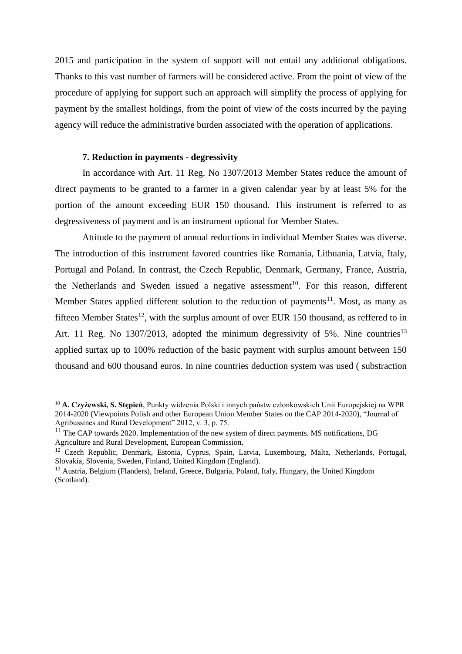2015 and participation in the system of support will not entail any additional obligations. Thanks to this vast number of farmers will be considered active. From the point of view of the procedure of applying for support such an approach will simplify the process of applying for payment by the smallest holdings, from the point of view of the costs incurred by the paying agency will reduce the administrative burden associated with the operation of applications.

## **7. Reduction in payments - degressivity**

 $\overline{a}$ 

In accordance with Art. 11 Reg. No 1307/2013 Member States reduce the amount of direct payments to be granted to a farmer in a given calendar year by at least 5% for the portion of the amount exceeding EUR 150 thousand. This instrument is referred to as degressiveness of payment and is an instrument optional for Member States.

Attitude to the payment of annual reductions in individual Member States was diverse. The introduction of this instrument favored countries like Romania, Lithuania, Latvia, Italy, Portugal and Poland. In contrast, the Czech Republic, Denmark, Germany, France, Austria, the Netherlands and Sweden issued a negative assessment<sup>10</sup>. For this reason, different Member States applied different solution to the reduction of payments<sup>11</sup>. Most, as many as fifteen Member States<sup>12</sup>, with the surplus amount of over EUR 150 thousand, as reffered to in Art. 11 Reg. No  $1307/2013$ , adopted the minimum degressivity of 5%. Nine countries<sup>13</sup> applied surtax up to 100% reduction of the basic payment with surplus amount between 150 thousand and 600 thousand euros. In nine countries deduction system was used ( substraction

<sup>10</sup> **A. Czyżewski, S. Stępień**, Punkty widzenia Polski i innych państw członkowskich Unii Europejskiej na WPR 2014-2020 (Viewpoints Polish and other European Union Member States on the CAP 2014-2020), "Journal of Agribussines and Rural Development" 2012, v. 3, p. 75.

<sup>&</sup>lt;sup>11</sup> The CAP towards 2020. Implementation of the new system of direct payments. MS notifications, DG Agriculture and Rural Development, European Commission.

<sup>&</sup>lt;sup>12</sup> Czech Republic, Denmark, Estonia, Cyprus, Spain, Latvia, Luxembourg, Malta, Netherlands, Portugal, Slovakia, Slovenia, Sweden, Finland, United Kingdom (England).

<sup>&</sup>lt;sup>13</sup> Austria, Belgium (Flanders), Ireland, Greece, Bulgaria, Poland, Italy, Hungary, the United Kingdom (Scotland).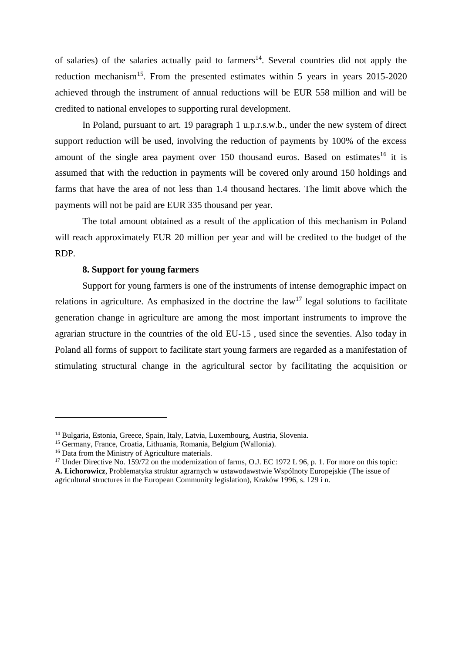of salaries) of the salaries actually paid to farmers<sup>14</sup>. Several countries did not apply the reduction mechanism<sup>15</sup>. From the presented estimates within 5 years in years 2015-2020 achieved through the instrument of annual reductions will be EUR 558 million and will be credited to national envelopes to supporting rural development.

In Poland, pursuant to art. 19 paragraph 1 u.p.r.s.w.b., under the new system of direct support reduction will be used, involving the reduction of payments by 100% of the excess amount of the single area payment over  $150$  thousand euros. Based on estimates<sup>16</sup> it is assumed that with the reduction in payments will be covered only around 150 holdings and farms that have the area of not less than 1.4 thousand hectares. The limit above which the payments will not be paid are EUR 335 thousand per year.

The total amount obtained as a result of the application of this mechanism in Poland will reach approximately EUR 20 million per year and will be credited to the budget of the RDP.

# **8. Support for young farmers**

Support for young farmers is one of the instruments of intense demographic impact on relations in agriculture. As emphasized in the doctrine the  $law<sup>17</sup>$  legal solutions to facilitate generation change in agriculture are among the most important instruments to improve the agrarian structure in the countries of the old EU-15 , used since the seventies. Also today in Poland all forms of support to facilitate start young farmers are regarded as a manifestation of stimulating structural change in the agricultural sector by facilitating the acquisition or

<sup>14</sup> Bulgaria, Estonia, Greece, Spain, Italy, Latvia, Luxembourg, Austria, Slovenia.

<sup>15</sup> Germany, France, Croatia, Lithuania, Romania, Belgium (Wallonia).

<sup>16</sup> Data from the Ministry of Agriculture materials.

<sup>&</sup>lt;sup>17</sup> Under Directive No. 159/72 on the modernization of farms, O.J. EC 1972 L 96, p. 1. For more on this topic: **A. Lichorowicz**, Problematyka struktur agrarnych w ustawodawstwie Wspólnoty Europejskie (The issue of agricultural structures in the European Community legislation), Kraków 1996, s. 129 i n.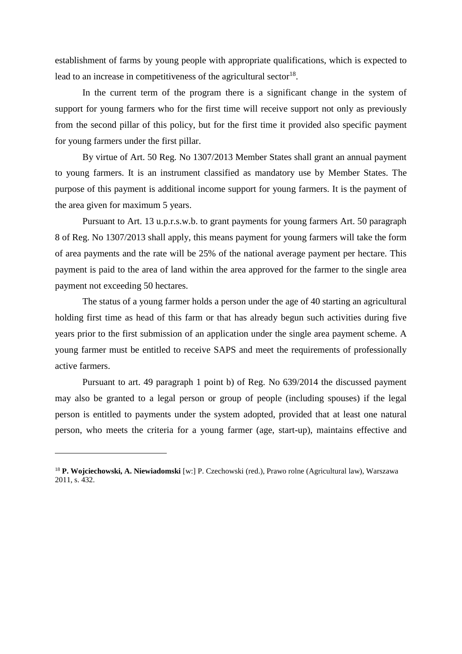establishment of farms by young people with appropriate qualifications, which is expected to lead to an increase in competitiveness of the agricultural sector  $18$ .

In the current term of the program there is a significant change in the system of support for young farmers who for the first time will receive support not only as previously from the second pillar of this policy, but for the first time it provided also specific payment for young farmers under the first pillar.

By virtue of Art. 50 Reg. No 1307/2013 Member States shall grant an annual payment to young farmers. It is an instrument classified as mandatory use by Member States. The purpose of this payment is additional income support for young farmers. It is the payment of the area given for maximum 5 years.

Pursuant to Art. 13 u.p.r.s.w.b. to grant payments for young farmers Art. 50 paragraph 8 of Reg. No 1307/2013 shall apply, this means payment for young farmers will take the form of area payments and the rate will be 25% of the national average payment per hectare. This payment is paid to the area of land within the area approved for the farmer to the single area payment not exceeding 50 hectares.

The status of a young farmer holds a person under the age of 40 starting an agricultural holding first time as head of this farm or that has already begun such activities during five years prior to the first submission of an application under the single area payment scheme. A young farmer must be entitled to receive SAPS and meet the requirements of professionally active farmers.

Pursuant to art. 49 paragraph 1 point b) of Reg. No 639/2014 the discussed payment may also be granted to a legal person or group of people (including spouses) if the legal person is entitled to payments under the system adopted, provided that at least one natural person, who meets the criteria for a young farmer (age, start-up), maintains effective and

<sup>18</sup> **P. Wojciechowski, A. Niewiadomski** [w:] P. Czechowski (red.), Prawo rolne (Agricultural law), Warszawa 2011, s. 432.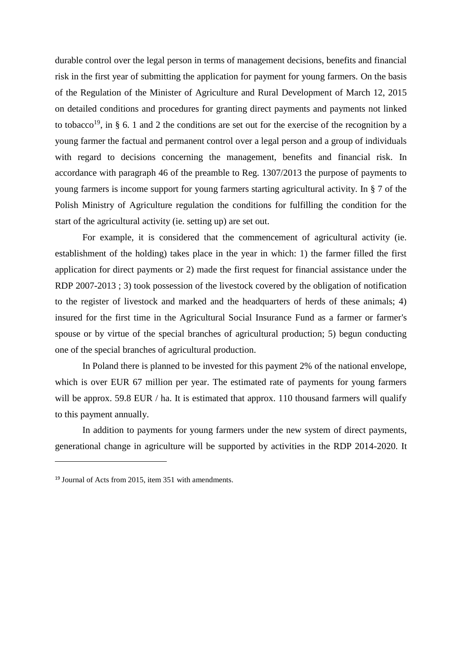durable control over the legal person in terms of management decisions, benefits and financial risk in the first year of submitting the application for payment for young farmers. On the basis of the Regulation of the Minister of Agriculture and Rural Development of March 12, 2015 on detailed conditions and procedures for granting direct payments and payments not linked to tobacco<sup>19</sup>, in § 6. 1 and 2 the conditions are set out for the exercise of the recognition by a young farmer the factual and permanent control over a legal person and a group of individuals with regard to decisions concerning the management, benefits and financial risk. In accordance with paragraph 46 of the preamble to Reg. 1307/2013 the purpose of payments to young farmers is income support for young farmers starting agricultural activity. In § 7 of the Polish Ministry of Agriculture regulation the conditions for fulfilling the condition for the start of the agricultural activity (ie. setting up) are set out.

For example, it is considered that the commencement of agricultural activity (ie. establishment of the holding) takes place in the year in which: 1) the farmer filled the first application for direct payments or 2) made the first request for financial assistance under the RDP 2007-2013 ; 3) took possession of the livestock covered by the obligation of notification to the register of livestock and marked and the headquarters of herds of these animals; 4) insured for the first time in the Agricultural Social Insurance Fund as a farmer or farmer's spouse or by virtue of the special branches of agricultural production; 5) begun conducting one of the special branches of agricultural production.

In Poland there is planned to be invested for this payment 2% of the national envelope, which is over EUR 67 million per year. The estimated rate of payments for young farmers will be approx. 59.8 EUR / ha. It is estimated that approx. 110 thousand farmers will qualify to this payment annually.

In addition to payments for young farmers under the new system of direct payments, generational change in agriculture will be supported by activities in the RDP 2014-2020. It

<sup>19</sup> Journal of Acts from 2015, item 351 with amendments.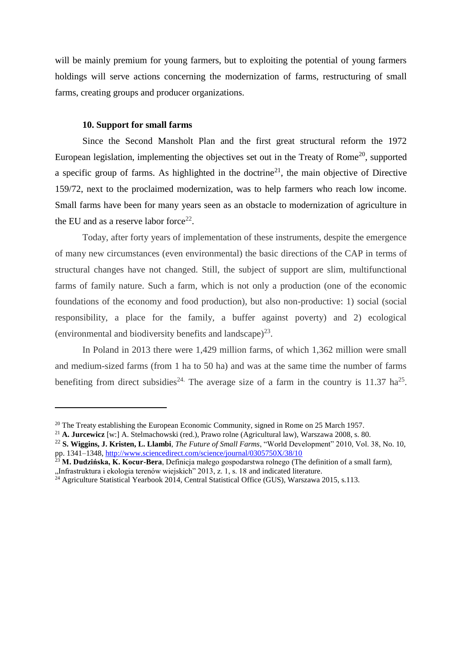will be mainly premium for young farmers, but to exploiting the potential of young farmers holdings will serve actions concerning the modernization of farms, restructuring of small farms, creating groups and producer organizations.

# **10. Support for small farms**

 $\overline{a}$ 

Since the Second Mansholt Plan and the first great structural reform the 1972 European legislation, implementing the objectives set out in the Treaty of Rome<sup>20</sup>, supported a specific group of farms. As highlighted in the doctrine<sup>21</sup>, the main objective of Directive 159/72, next to the proclaimed modernization, was to help farmers who reach low income. Small farms have been for many years seen as an obstacle to modernization of agriculture in the EU and as a reserve labor force<sup>22</sup>.

Today, after forty years of implementation of these instruments, despite the emergence of many new circumstances (even environmental) the basic directions of the CAP in terms of structural changes have not changed. Still, the subject of support are slim, multifunctional farms of family nature. Such a farm, which is not only a production (one of the economic foundations of the economy and food production), but also non-productive: 1) social (social responsibility, a place for the family, a buffer against poverty) and 2) ecological (environmental and biodiversity benefits and landscape) $^{23}$ .

In Poland in 2013 there were 1,429 million farms, of which 1,362 million were small and medium-sized farms (from 1 ha to 50 ha) and was at the same time the number of farms benefiting from direct subsidies<sup>24.</sup> The average size of a farm in the country is 11.37 ha<sup>25</sup>.

 $20$  The Treaty establishing the European Economic Community, signed in Rome on 25 March 1957.

<sup>21</sup> **A. Jurcewicz** [w:] A. Stelmachowski (red.), Prawo rolne (Agricultural law), Warszawa 2008, s. 80.

<sup>22</sup> **S. Wiggins, J. Kristen, L. Llambi**, *The Future of Small Farms*, "World Development" 2010, Vol. 38, No. 10, pp. 1341–1348,<http://www.sciencedirect.com/science/journal/0305750X/38/10>

<sup>&</sup>lt;sup>3</sup> **M. Dudzińska, K. Kocur-Bera**, Definicja małego gospodarstwa rolnego (The definition of a small farm), "Infrastruktura i ekologia terenów wiejskich" 2013, z. 1, s. 18 and indicated literature.

<sup>24</sup> Agriculture Statistical Yearbook 2014, Central Statistical Office (GUS), Warszawa 2015, s.113.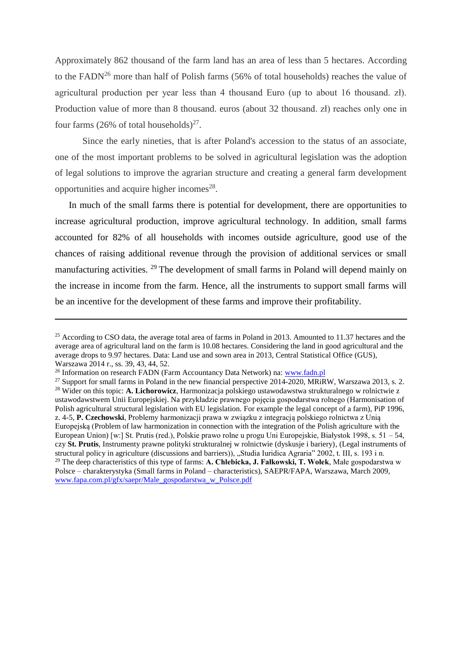Approximately 862 thousand of the farm land has an area of less than 5 hectares. According to the FADN<sup>26</sup> more than half of Polish farms (56% of total households) reaches the value of agricultural production per year less than 4 thousand Euro (up to about 16 thousand. zł). Production value of more than 8 thousand. euros (about 32 thousand. zł) reaches only one in four farms (26% of total households) $^{27}$ .

Since the early nineties, that is after Poland's accession to the status of an associate, one of the most important problems to be solved in agricultural legislation was the adoption of legal solutions to improve the agrarian structure and creating a general farm development opportunities and acquire higher incomes $^{28}$ .

In much of the small farms there is potential for development, there are opportunities to increase agricultural production, improve agricultural technology. In addition, small farms accounted for 82% of all households with incomes outside agriculture, good use of the chances of raising additional revenue through the provision of additional services or small manufacturing activities. <sup>29</sup> The development of small farms in Poland will depend mainly on the increase in income from the farm. Hence, all the instruments to support small farms will be an incentive for the development of these farms and improve their profitability.

<sup>&</sup>lt;sup>25</sup> According to CSO data, the average total area of farms in Poland in 2013. Amounted to 11.37 hectares and the average area of agricultural land on the farm is 10.08 hectares. Considering the land in good agricultural and the average drops to 9.97 hectares. Data: Land use and sown area in 2013, Central Statistical Office (GUS), Warszawa 2014 r., ss. 39, 43, 44, 52.

<sup>&</sup>lt;sup>26</sup> Information on research FADN (Farm Accountancy Data Network) na: [www.fadn.pl](http://www.fadn.pl/)

<sup>&</sup>lt;sup>27</sup> Support for small farms in Poland in the new financial perspective 2014-2020, MRiRW, Warszawa 2013, s. 2. <sup>28</sup> Wider on this topic: **A. Lichorowicz**, Harmonizacja polskiego ustawodawstwa strukturalnego w rolnictwie z ustawodawstwem Unii Europejskiej. Na przykładzie prawnego pojęcia gospodarstwa rolnego (Harmonisation of Polish agricultural structural legislation with EU legislation. For example the legal concept of a farm), PiP 1996, z. 4-5, **P. Czechowski**, Problemy harmonizacji prawa w związku z integracją polskiego rolnictwa z Unią Europejską (Problem of law harmonization in connection with the integration of the Polish agriculture with the European Union) [w:] St. Prutis (red.), Polskie prawo rolne u progu Uni Europejskie, Białystok 1998, s. 51 – 54, czy **St. Prutis**, Instrumenty prawne polityki strukturalnej w rolnictwie (dyskusje i bariery), (Legal instruments of structural policy in agriculture (discussions and barriers)), "Studia Iuridica Agraria" 2002, t. III, s. 193 i n. <sup>29</sup> The deep characteristics of this type of farms: **A. Chlebicka, J. Fałkowski, T. Wołek**, Małe gospodarstwa w Polsce – charakterystyka (Small farms in Poland – characteristics), SAEPR/FAPA, Warszawa, March 2009, [www.fapa.com.pl/gfx/saepr/Male\\_gospodarstwa\\_w\\_Polsce.pdf](http://www.fapa.com.pl/gfx/saepr/Male_gospodarstwa_w_Polsce.pdf)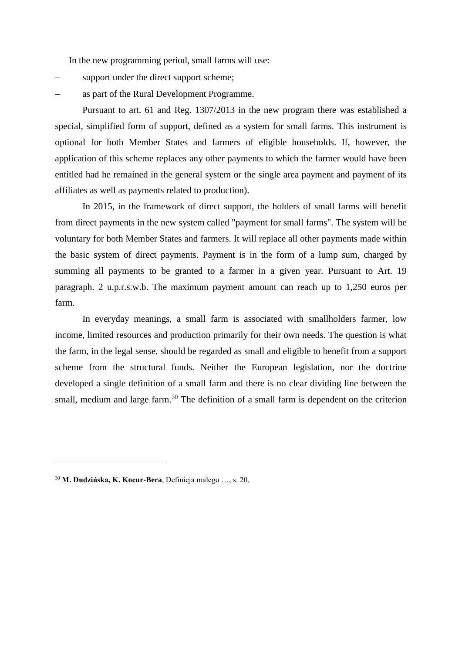In the new programming period, small farms will use:

- support under the direct support scheme;
- as part of the Rural Development Programme.

Pursuant to art. 61 and Reg. 1307/2013 in the new program there was established a special, simplified form of support, defined as a system for small farms. This instrument is optional for both Member States and farmers of eligible households. If, however, the application of this scheme replaces any other payments to which the farmer would have been entitled had he remained in the general system or the single area payment and payment of its affiliates as well as payments related to production).

In 2015, in the framework of direct support, the holders of small farms will benefit from direct payments in the new system called "payment for small farms". The system will be voluntary for both Member States and farmers. It will replace all other payments made within the basic system of direct payments. Payment is in the form of a lump sum, charged by summing all payments to be granted to a farmer in a given year. Pursuant to Art. 19 paragraph. 2 u.p.r.s.w.b. The maximum payment amount can reach up to 1,250 euros per farm.

In everyday meanings, a small farm is associated with smallholders farmer, low income, limited resources and production primarily for their own needs. The question is what the farm, in the legal sense, should be regarded as small and eligible to benefit from a support scheme from the structural funds. Neither the European legislation, nor the doctrine developed a single definition of a small farm and there is no clear dividing line between the small, medium and large farm.<sup>30</sup> The definition of a small farm is dependent on the criterion

<sup>30</sup> **M. Dudzińska, K. Kocur-Bera**, Definicja małego …, s. 20.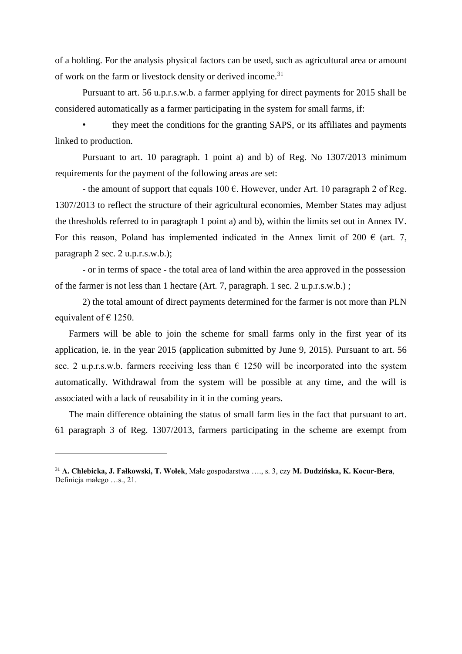of a holding. For the analysis physical factors can be used, such as agricultural area or amount of work on the farm or livestock density or derived income.<sup>31</sup>

Pursuant to art. 56 u.p.r.s.w.b. a farmer applying for direct payments for 2015 shall be considered automatically as a farmer participating in the system for small farms, if:

• they meet the conditions for the granting SAPS, or its affiliates and payments linked to production.

Pursuant to art. 10 paragraph. 1 point a) and b) of Reg. No 1307/2013 minimum requirements for the payment of the following areas are set:

- the amount of support that equals  $100 \text{ }\epsilon$ . However, under Art. 10 paragraph 2 of Reg. 1307/2013 to reflect the structure of their agricultural economies, Member States may adjust the thresholds referred to in paragraph 1 point a) and b), within the limits set out in Annex IV. For this reason, Poland has implemented indicated in the Annex limit of 200  $\epsilon$  (art. 7, paragraph 2 sec. 2 u.p.r.s.w.b.);

- or in terms of space - the total area of land within the area approved in the possession of the farmer is not less than 1 hectare (Art. 7, paragraph. 1 sec. 2 u.p.r.s.w.b.) ;

2) the total amount of direct payments determined for the farmer is not more than PLN equivalent of  $\epsilon$  1250.

Farmers will be able to join the scheme for small farms only in the first year of its application, ie. in the year 2015 (application submitted by June 9, 2015). Pursuant to art. 56 sec. 2 u.p.r.s.w.b. farmers receiving less than  $\epsilon$  1250 will be incorporated into the system automatically. Withdrawal from the system will be possible at any time, and the will is associated with a lack of reusability in it in the coming years.

The main difference obtaining the status of small farm lies in the fact that pursuant to art. 61 paragraph 3 of Reg. 1307/2013, farmers participating in the scheme are exempt from

<sup>31</sup> **A. Chlebicka, J. Fałkowski, T. Wołek**, Małe gospodarstwa …., s. 3, czy **M. Dudzińska, K. Kocur-Bera**, Definicja małego …s., 21.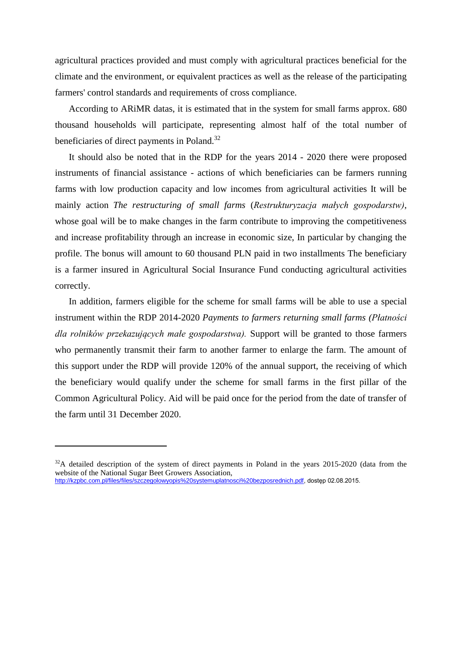agricultural practices provided and must comply with agricultural practices beneficial for the climate and the environment, or equivalent practices as well as the release of the participating farmers' control standards and requirements of cross compliance.

According to ARiMR datas, it is estimated that in the system for small farms approx. 680 thousand households will participate, representing almost half of the total number of beneficiaries of direct payments in Poland.<sup>32</sup>

It should also be noted that in the RDP for the years 2014 - 2020 there were proposed instruments of financial assistance - actions of which beneficiaries can be farmers running farms with low production capacity and low incomes from agricultural activities It will be mainly action *The restructuring of small farms* (*Restrukturyzacja małych gospodarstw)*, whose goal will be to make changes in the farm contribute to improving the competitiveness and increase profitability through an increase in economic size, In particular by changing the profile. The bonus will amount to 60 thousand PLN paid in two installments The beneficiary is a farmer insured in Agricultural Social Insurance Fund conducting agricultural activities correctly.

In addition, farmers eligible for the scheme for small farms will be able to use a special instrument within the RDP 2014-2020 *Payments to farmers returning small farms (Płatności dla rolników przekazujących małe gospodarstwa).* Support will be granted to those farmers who permanently transmit their farm to another farmer to enlarge the farm. The amount of this support under the RDP will provide 120% of the annual support, the receiving of which the beneficiary would qualify under the scheme for small farms in the first pillar of the Common Agricultural Policy. Aid will be paid once for the period from the date of transfer of the farm until 31 December 2020.

<sup>&</sup>lt;sup>32</sup>A detailed description of the system of direct payments in Poland in the years 2015-2020 (data from the website of the National Sugar Beet Growers Association, [http://kzpbc.com.pl/files/files/szczegolowyopis%20systemuplatnosci%20bezposrednich.pdf,](http://kzpbc.com.pl/files/files/SzczegolowyOpis%20SystemuPlatnosci%20Bezposrednich.pdf) dostęp 02.08.2015.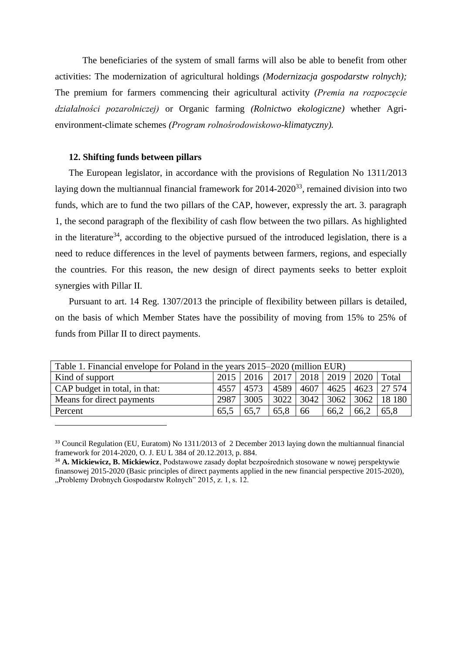The beneficiaries of the system of small farms will also be able to benefit from other activities: The modernization of agricultural holdings *(Modernizacja gospodarstw rolnych);*  The premium for farmers commencing their agricultural activity *(Premia na rozpoczęcie działalności pozarolniczej)* or Organic farming *(Rolnictwo ekologiczne)* whether Agrienvironment-climate schemes *(Program rolnośrodowiskowo-klimatyczny).*

#### **12. Shifting funds between pillars**

 $\overline{a}$ 

The European legislator, in accordance with the provisions of Regulation No 1311/2013 laying down the multiannual financial framework for  $2014-2020^{33}$ , remained division into two funds, which are to fund the two pillars of the CAP, however, expressly the art. 3. paragraph 1, the second paragraph of the flexibility of cash flow between the two pillars. As highlighted in the literature<sup>34</sup>, according to the objective pursued of the introduced legislation, there is a need to reduce differences in the level of payments between farmers, regions, and especially the countries. For this reason, the new design of direct payments seeks to better exploit synergies with Pillar II.

Pursuant to art. 14 Reg. 1307/2013 the principle of flexibility between pillars is detailed, on the basis of which Member States have the possibility of moving from 15% to 25% of funds from Pillar II to direct payments.

| Table 1. Financial envelope for Poland in the years 2015–2020 (million EUR) |      |                                                 |      |    |      |      |                                    |  |  |  |
|-----------------------------------------------------------------------------|------|-------------------------------------------------|------|----|------|------|------------------------------------|--|--|--|
| Kind of support                                                             |      | 2015   2016   2017   2018   2019   2020   Total |      |    |      |      |                                    |  |  |  |
| CAP budget in total, in that:                                               |      | 4557 4573                                       | 4589 |    |      |      | 4607   4625   4623   27 574        |  |  |  |
| Means for direct payments                                                   | 2987 | 3005                                            |      |    |      |      | 3022   3042   3062   3062   18 180 |  |  |  |
| Percent                                                                     | 65.5 | 65,7                                            | 65.8 | 66 | 66,2 | 66,2 | 65,8                               |  |  |  |

<sup>&</sup>lt;sup>33</sup> Council Regulation (EU, Euratom) No 1311/2013 of 2 December 2013 laying down the multiannual financial framework for 2014-2020, O. J. EU L 384 of 20.12.2013, p. 884.

<sup>34</sup> **A. Mickiewicz, B. Mickiewicz**, Podstawowe zasady dopłat bezpośrednich stosowane w nowej perspektywie finansowej 2015-2020 (Basic principles of direct payments applied in the new financial perspective 2015-2020), "Problemy Drobnych Gospodarstw Rolnych" 2015, z. 1, s. 12.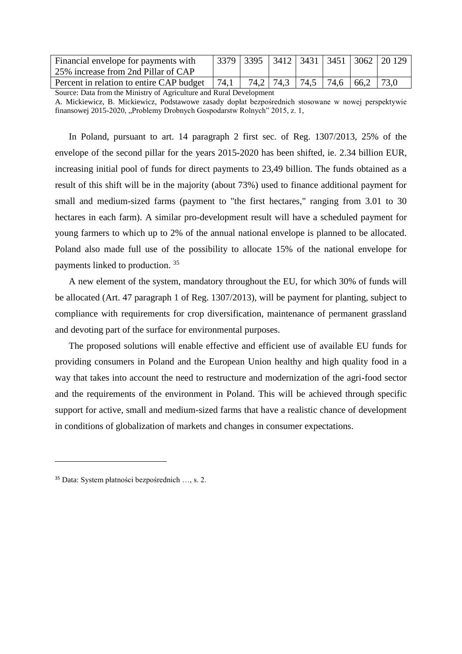| Financial envelope for payments with     |      |  |  |                               | 3379 3395 3412 3431 3451 3062 20 129 |
|------------------------------------------|------|--|--|-------------------------------|--------------------------------------|
| 25% increase from 2nd Pillar of CAP      |      |  |  |                               |                                      |
| Percent in relation to entire CAP budget | 74,1 |  |  | 74,2 74,3 74,5 74,6 66,2 73,0 |                                      |

Source: Data from the Ministry of Agriculture and Rural Development A. Mickiewicz, B. Mickiewicz, Podstawowe zasady dopłat bezpośrednich stosowane w nowej perspektywie finansowej 2015-2020, "Problemy Drobnych Gospodarstw Rolnych" 2015, z. 1,

In Poland, pursuant to art. 14 paragraph 2 first sec. of Reg. 1307/2013, 25% of the envelope of the second pillar for the years 2015-2020 has been shifted, ie. 2.34 billion EUR, increasing initial pool of funds for direct payments to 23,49 billion. The funds obtained as a result of this shift will be in the majority (about 73%) used to finance additional payment for small and medium-sized farms (payment to "the first hectares," ranging from 3.01 to 30 hectares in each farm). A similar pro-development result will have a scheduled payment for young farmers to which up to 2% of the annual national envelope is planned to be allocated. Poland also made full use of the possibility to allocate 15% of the national envelope for payments linked to production. <sup>35</sup>

A new element of the system, mandatory throughout the EU, for which 30% of funds will be allocated (Art. 47 paragraph 1 of Reg. 1307/2013), will be payment for planting, subject to compliance with requirements for crop diversification, maintenance of permanent grassland and devoting part of the surface for environmental purposes.

The proposed solutions will enable effective and efficient use of available EU funds for providing consumers in Poland and the European Union healthy and high quality food in a way that takes into account the need to restructure and modernization of the agri-food sector and the requirements of the environment in Poland. This will be achieved through specific support for active, small and medium-sized farms that have a realistic chance of development in conditions of globalization of markets and changes in consumer expectations.

<sup>35</sup> Data: System płatności bezpośrednich …, s. 2.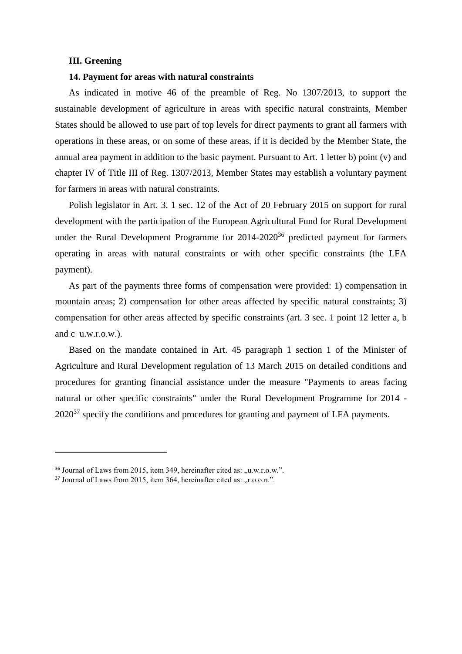## **III. Greening**

## **14. Payment for areas with natural constraints**

As indicated in motive 46 of the preamble of Reg. No 1307/2013, to support the sustainable development of agriculture in areas with specific natural constraints, Member States should be allowed to use part of top levels for direct payments to grant all farmers with operations in these areas, or on some of these areas, if it is decided by the Member State, the annual area payment in addition to the basic payment. Pursuant to Art. 1 letter b) point (v) and chapter IV of Title III of Reg. 1307/2013, Member States may establish a voluntary payment for farmers in areas with natural constraints.

Polish legislator in Art. 3. 1 sec. 12 of the Act of 20 February 2015 on support for rural development with the participation of the European Agricultural Fund for Rural Development under the Rural Development Programme for  $2014-2020^{36}$  predicted payment for farmers operating in areas with natural constraints or with other specific constraints (the LFA payment).

As part of the payments three forms of compensation were provided: 1) compensation in mountain areas; 2) compensation for other areas affected by specific natural constraints; 3) compensation for other areas affected by specific constraints (art. 3 sec. 1 point 12 letter a, b and c u.w.r.o.w.).

Based on the mandate contained in Art. 45 paragraph 1 section 1 of the Minister of Agriculture and Rural Development regulation of 13 March 2015 on detailed conditions and procedures for granting financial assistance under the measure "Payments to areas facing natural or other specific constraints" under the Rural Development Programme for 2014 -  $2020^{37}$  specify the conditions and procedures for granting and payment of LFA payments.

<sup>&</sup>lt;sup>36</sup> Journal of Laws from 2015, item 349, hereinafter cited as: "u.w.r.o.w.".

 $37$  Journal of Laws from 2015, item 364, hereinafter cited as: "r.o.o.n.".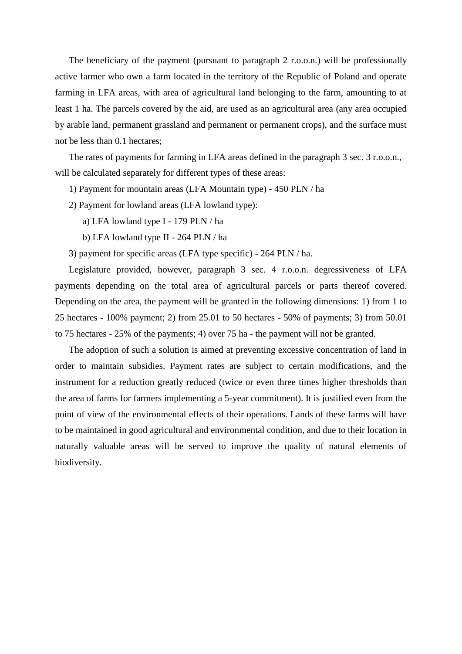The beneficiary of the payment (pursuant to paragraph 2 r.o.o.n.) will be professionally active farmer who own a farm located in the territory of the Republic of Poland and operate farming in LFA areas, with area of agricultural land belonging to the farm, amounting to at least 1 ha. The parcels covered by the aid, are used as an agricultural area (any area occupied by arable land, permanent grassland and permanent or permanent crops), and the surface must not be less than 0.1 hectares;

The rates of payments for farming in LFA areas defined in the paragraph 3 sec. 3 r.o.o.n., will be calculated separately for different types of these areas:

1) Payment for mountain areas (LFA Mountain type) - 450 PLN / ha

- 2) Payment for lowland areas (LFA lowland type):
	- a) LFA lowland type I 179 PLN / ha
	- b) LFA lowland type II 264 PLN / ha

3) payment for specific areas (LFA type specific) - 264 PLN / ha.

Legislature provided, however, paragraph 3 sec. 4 r.o.o.n. degressiveness of LFA payments depending on the total area of agricultural parcels or parts thereof covered. Depending on the area, the payment will be granted in the following dimensions: 1) from 1 to 25 hectares - 100% payment; 2) from 25.01 to 50 hectares - 50% of payments; 3) from 50.01 to 75 hectares - 25% of the payments; 4) over 75 ha - the payment will not be granted.

The adoption of such a solution is aimed at preventing excessive concentration of land in order to maintain subsidies. Payment rates are subject to certain modifications, and the instrument for a reduction greatly reduced (twice or even three times higher thresholds than the area of farms for farmers implementing a 5-year commitment). It is justified even from the point of view of the environmental effects of their operations. Lands of these farms will have to be maintained in good agricultural and environmental condition, and due to their location in naturally valuable areas will be served to improve the quality of natural elements of biodiversity.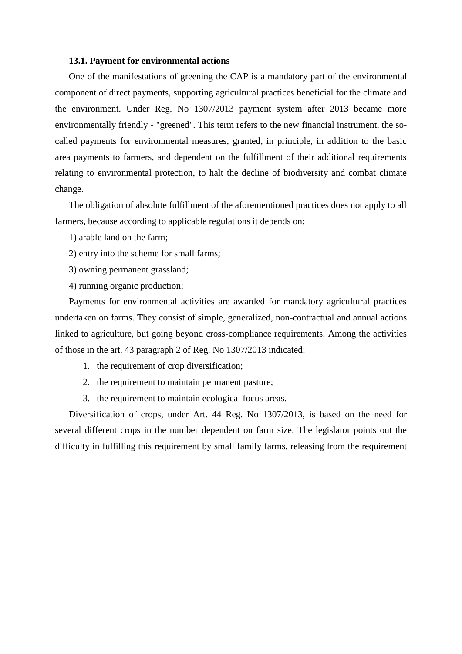## **13.1. Payment for environmental actions**

One of the manifestations of greening the CAP is a mandatory part of the environmental component of direct payments, supporting agricultural practices beneficial for the climate and the environment. Under Reg. No 1307/2013 payment system after 2013 became more environmentally friendly - "greened". This term refers to the new financial instrument, the socalled payments for environmental measures, granted, in principle, in addition to the basic area payments to farmers, and dependent on the fulfillment of their additional requirements relating to environmental protection, to halt the decline of biodiversity and combat climate change.

The obligation of absolute fulfillment of the aforementioned practices does not apply to all farmers, because according to applicable regulations it depends on:

- 1) arable land on the farm;
- 2) entry into the scheme for small farms;
- 3) owning permanent grassland;
- 4) running organic production;

Payments for environmental activities are awarded for mandatory agricultural practices undertaken on farms. They consist of simple, generalized, non-contractual and annual actions linked to agriculture, but going beyond cross-compliance requirements. Among the activities of those in the art. 43 paragraph 2 of Reg. No 1307/2013 indicated:

- 1. the requirement of crop diversification;
- 2. the requirement to maintain permanent pasture;
- 3. the requirement to maintain ecological focus areas.

Diversification of crops, under Art. 44 Reg. No 1307/2013, is based on the need for several different crops in the number dependent on farm size. The legislator points out the difficulty in fulfilling this requirement by small family farms, releasing from the requirement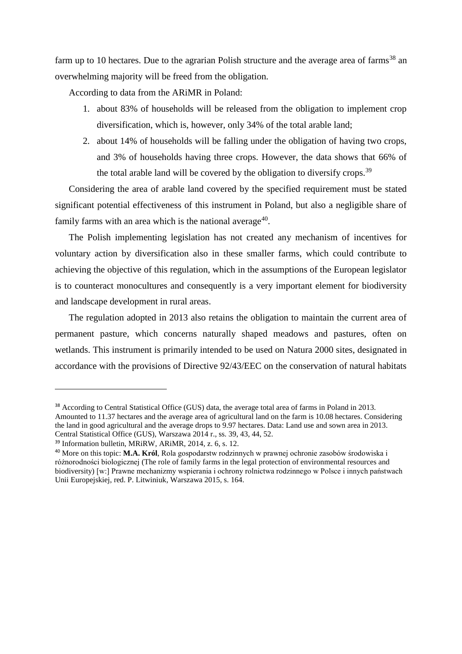farm up to 10 hectares. Due to the agrarian Polish structure and the average area of farms<sup>38</sup> an overwhelming majority will be freed from the obligation.

According to data from the ARiMR in Poland:

- 1. about 83% of households will be released from the obligation to implement crop diversification, which is, however, only 34% of the total arable land;
- 2. about 14% of households will be falling under the obligation of having two crops, and 3% of households having three crops. However, the data shows that 66% of the total arable land will be covered by the obligation to diversify crops.<sup>39</sup>

Considering the area of arable land covered by the specified requirement must be stated significant potential effectiveness of this instrument in Poland, but also a negligible share of family farms with an area which is the national average<sup>40</sup>.

The Polish implementing legislation has not created any mechanism of incentives for voluntary action by diversification also in these smaller farms, which could contribute to achieving the objective of this regulation, which in the assumptions of the European legislator is to counteract monocultures and consequently is a very important element for biodiversity and landscape development in rural areas.

The regulation adopted in 2013 also retains the obligation to maintain the current area of permanent pasture, which concerns naturally shaped meadows and pastures, often on wetlands. This instrument is primarily intended to be used on Natura 2000 sites, designated in accordance with the provisions of Directive 92/43/EEC on the conservation of natural habitats

<sup>&</sup>lt;sup>38</sup> According to Central Statistical Office (GUS) data, the average total area of farms in Poland in 2013. Amounted to 11.37 hectares and the average area of agricultural land on the farm is 10.08 hectares. Considering the land in good agricultural and the average drops to 9.97 hectares. Data: Land use and sown area in 2013. Central Statistical Office (GUS), Warszawa 2014 r., ss. 39, 43, 44, 52.

<sup>39</sup> Information bulletin, MRiRW, ARiMR, 2014, z. 6, s. 12.

<sup>40</sup> More on this topic: **M.A. Król**, Rola gospodarstw rodzinnych w prawnej ochronie zasobów środowiska i różnorodności biologicznej (The role of family farms in the legal protection of environmental resources and biodiversity) [w:] Prawne mechanizmy wspierania i ochrony rolnictwa rodzinnego w Polsce i innych państwach Unii Europejskiej, red. P. Litwiniuk, Warszawa 2015, s. 164.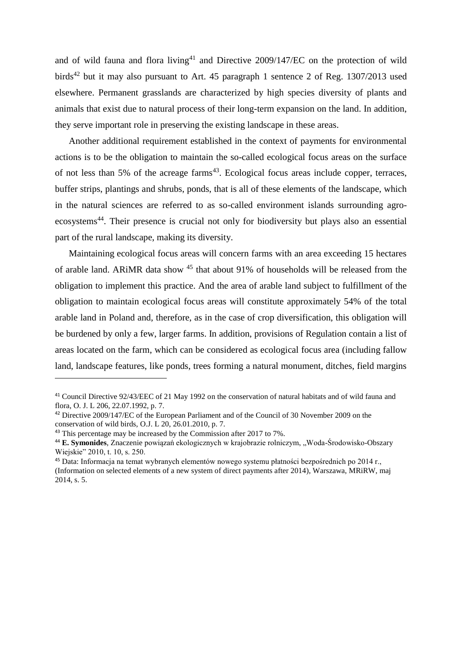and of wild fauna and flora living<sup>41</sup> and Directive  $2009/147/EC$  on the protection of wild birds<sup>42</sup> but it may also pursuant to Art. 45 paragraph 1 sentence 2 of Reg. 1307/2013 used elsewhere. Permanent grasslands are characterized by high species diversity of plants and animals that exist due to natural process of their long-term expansion on the land. In addition, they serve important role in preserving the existing landscape in these areas.

Another additional requirement established in the context of payments for environmental actions is to be the obligation to maintain the so-called ecological focus areas on the surface of not less than 5% of the acreage farms<sup>43</sup>. Ecological focus areas include copper, terraces, buffer strips, plantings and shrubs, ponds, that is all of these elements of the landscape, which in the natural sciences are referred to as so-called environment islands surrounding agroecosystems<sup>44</sup>. Their presence is crucial not only for biodiversity but plays also an essential part of the rural landscape, making its diversity.

Maintaining ecological focus areas will concern farms with an area exceeding 15 hectares of arable land. ARIMR data show <sup>45</sup> that about 91% of households will be released from the obligation to implement this practice. And the area of arable land subject to fulfillment of the obligation to maintain ecological focus areas will constitute approximately 54% of the total arable land in Poland and, therefore, as in the case of crop diversification, this obligation will be burdened by only a few, larger farms. In addition, provisions of Regulation contain a list of areas located on the farm, which can be considered as ecological focus area (including fallow land, landscape features, like ponds, trees forming a natural monument, ditches, field margins

<sup>41</sup> Council Directive 92/43/EEC of 21 May 1992 on the conservation of natural habitats and of wild fauna and flora, O. J. L 206, 22.07.1992, p. 7.

<sup>42</sup> Directive 2009/147/EC of the European Parliament and of the Council of 30 November 2009 on the conservation of wild birds, O.J. L 20, 26.01.2010, p. 7.

<sup>&</sup>lt;sup>43</sup> This percentage may be increased by the Commission after 2017 to 7%.

<sup>44</sup> **E. Symonides**, Znaczenie powiązań ekologicznych w krajobrazie rolniczym, "Woda-Środowisko-Obszary Wiejskie" 2010, t. 10, s. 250.

<sup>45</sup> Data: Informacja na temat wybranych elementów nowego systemu płatności bezpośrednich po 2014 r., (Information on selected elements of a new system of direct payments after 2014), Warszawa, MRiRW, maj 2014, s. 5.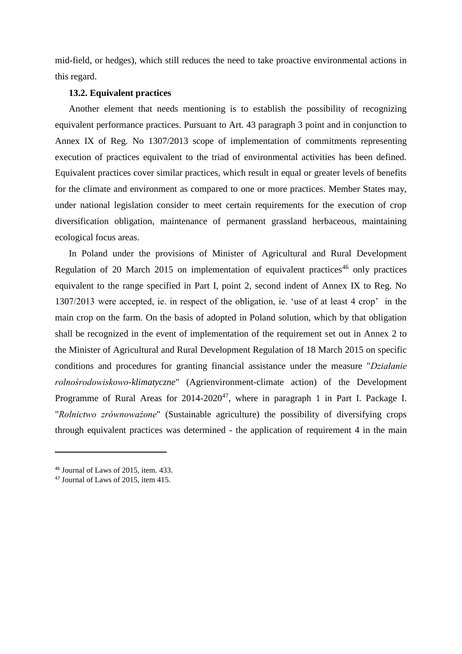mid-field, or hedges), which still reduces the need to take proactive environmental actions in this regard.

## **13.2. Equivalent practices**

Another element that needs mentioning is to establish the possibility of recognizing equivalent performance practices. Pursuant to Art. 43 paragraph 3 point and in conjunction to Annex IX of Reg. No 1307/2013 scope of implementation of commitments representing execution of practices equivalent to the triad of environmental activities has been defined. Equivalent practices cover similar practices, which result in equal or greater levels of benefits for the climate and environment as compared to one or more practices. Member States may, under national legislation consider to meet certain requirements for the execution of crop diversification obligation, maintenance of permanent grassland herbaceous, maintaining ecological focus areas.

In Poland under the provisions of Minister of Agricultural and Rural Development Regulation of 20 March 2015 on implementation of equivalent practices<sup>46</sup> only practices equivalent to the range specified in Part I, point 2, second indent of Annex IX to Reg. No 1307/2013 were accepted, ie. in respect of the obligation, ie. 'use of at least 4 crop' in the main crop on the farm. On the basis of adopted in Poland solution, which by that obligation shall be recognized in the event of implementation of the requirement set out in Annex 2 to the Minister of Agricultural and Rural Development Regulation of 18 March 2015 on specific conditions and procedures for granting financial assistance under the measure "*Działanie rolnośrodowiskowo-klimatyczne*" (Agrienvironment-climate action) of the Development Programme of Rural Areas for  $2014-2020^{47}$ , where in paragraph 1 in Part I. Package I. "*Rolnictwo zrównoważone*" (Sustainable agriculture) the possibility of diversifying crops through equivalent practices was determined - the application of requirement 4 in the main

<sup>46</sup> Journal of Laws of 2015, item. 433.

<sup>47</sup> Journal of Laws of 2015, item 415.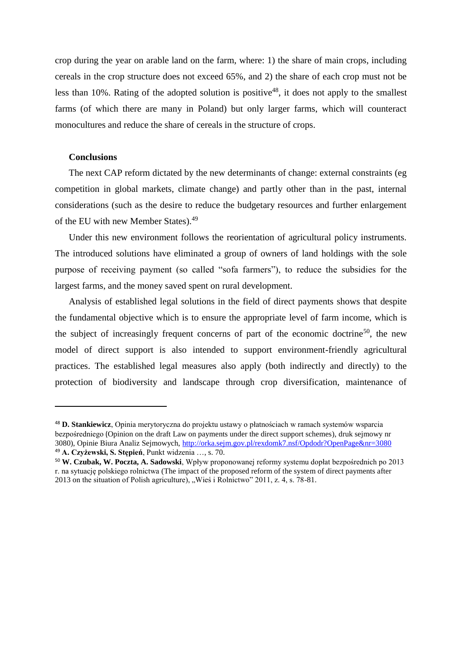crop during the year on arable land on the farm, where: 1) the share of main crops, including cereals in the crop structure does not exceed 65%, and 2) the share of each crop must not be less than 10%. Rating of the adopted solution is positive<sup>48</sup>, it does not apply to the smallest farms (of which there are many in Poland) but only larger farms, which will counteract monocultures and reduce the share of cereals in the structure of crops.

## **Conclusions**

 $\overline{a}$ 

The next CAP reform dictated by the new determinants of change: external constraints (eg competition in global markets, climate change) and partly other than in the past, internal considerations (such as the desire to reduce the budgetary resources and further enlargement of the EU with new Member States).<sup>49</sup>

Under this new environment follows the reorientation of agricultural policy instruments. The introduced solutions have eliminated a group of owners of land holdings with the sole purpose of receiving payment (so called "sofa farmers"), to reduce the subsidies for the largest farms, and the money saved spent on rural development.

Analysis of established legal solutions in the field of direct payments shows that despite the fundamental objective which is to ensure the appropriate level of farm income, which is the subject of increasingly frequent concerns of part of the economic doctrine<sup>50</sup>, the new model of direct support is also intended to support environment-friendly agricultural practices. The established legal measures also apply (both indirectly and directly) to the protection of biodiversity and landscape through crop diversification, maintenance of

<sup>48</sup> **D. Stankiewicz**, Opinia merytoryczna do projektu ustawy o płatnościach w ramach systemów wsparcia bezpośredniego (Opinion on the draft Law on payments under the direct support schemes), druk sejmowy nr 3080), Opinie Biura Analiz Sejmowych,<http://orka.sejm.gov.pl/rexdomk7.nsf/Opdodr?OpenPage&nr=3080> <sup>49</sup> **A. Czyżewski, S. Stępień**, Punkt widzenia …, s. 70.

<sup>50</sup> **W. Czubak, W. Poczta, A. Sadowski**, Wpływ proponowanej reformy systemu dopłat bezpośrednich po 2013 r. na sytuację polskiego rolnictwa (The impact of the proposed reform of the system of direct payments after 2013 on the situation of Polish agriculture), "Wieś i Rolnictwo" 2011, z. 4, s. 78-81.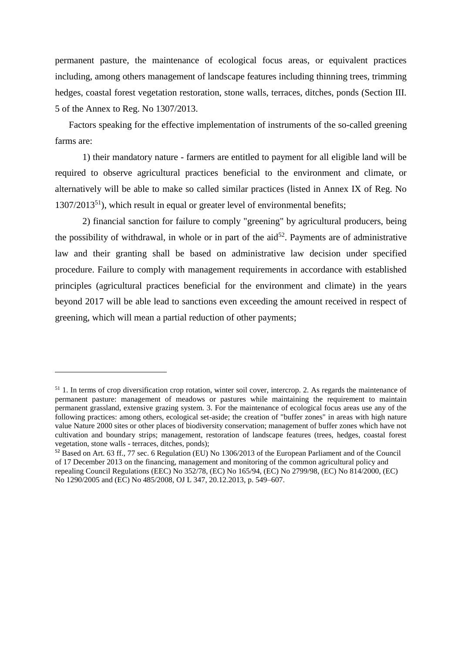permanent pasture, the maintenance of ecological focus areas, or equivalent practices including, among others management of landscape features including thinning trees, trimming hedges, coastal forest vegetation restoration, stone walls, terraces, ditches, ponds (Section III. 5 of the Annex to Reg. No 1307/2013.

Factors speaking for the effective implementation of instruments of the so-called greening farms are:

1) their mandatory nature - farmers are entitled to payment for all eligible land will be required to observe agricultural practices beneficial to the environment and climate, or alternatively will be able to make so called similar practices (listed in Annex IX of Reg. No  $1307/2013<sup>51</sup>$ ), which result in equal or greater level of environmental benefits;

2) financial sanction for failure to comply "greening" by agricultural producers, being the possibility of withdrawal, in whole or in part of the  $aid^{52}$ . Payments are of administrative law and their granting shall be based on administrative law decision under specified procedure. Failure to comply with management requirements in accordance with established principles (agricultural practices beneficial for the environment and climate) in the years beyond 2017 will be able lead to sanctions even exceeding the amount received in respect of greening, which will mean a partial reduction of other payments;

 $51$  1. In terms of crop diversification crop rotation, winter soil cover, intercrop. 2. As regards the maintenance of permanent pasture: management of meadows or pastures while maintaining the requirement to maintain permanent grassland, extensive grazing system. 3. For the maintenance of ecological focus areas use any of the following practices: among others, ecological set-aside; the creation of "buffer zones" in areas with high nature value Nature 2000 sites or other places of biodiversity conservation; management of buffer zones which have not cultivation and boundary strips; management, restoration of landscape features (trees, hedges, coastal forest vegetation, stone walls - terraces, ditches, ponds);

<sup>&</sup>lt;sup>52</sup> Based on Art. 63 ff., 77 sec. 6 Regulation (EU) No 1306/2013 of the European Parliament and of the Council of 17 December 2013 on the financing, management and monitoring of the common agricultural policy and repealing Council Regulations (EEC) No 352/78, (EC) No 165/94, (EC) No 2799/98, (EC) No 814/2000, (EC) No 1290/2005 and (EC) No 485/2008, OJ L 347, 20.12.2013, p. 549–607.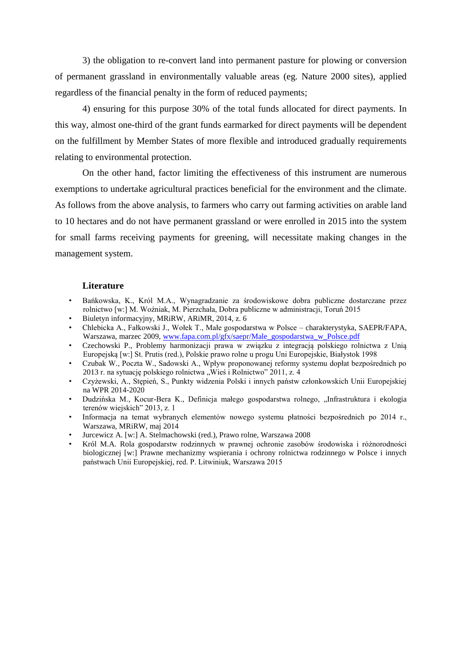3) the obligation to re-convert land into permanent pasture for plowing or conversion of permanent grassland in environmentally valuable areas (eg. Nature 2000 sites), applied regardless of the financial penalty in the form of reduced payments;

4) ensuring for this purpose 30% of the total funds allocated for direct payments. In this way, almost one-third of the grant funds earmarked for direct payments will be dependent on the fulfillment by Member States of more flexible and introduced gradually requirements relating to environmental protection.

On the other hand, factor limiting the effectiveness of this instrument are numerous exemptions to undertake agricultural practices beneficial for the environment and the climate. As follows from the above analysis, to farmers who carry out farming activities on arable land to 10 hectares and do not have permanent grassland or were enrolled in 2015 into the system for small farms receiving payments for greening, will necessitate making changes in the management system.

#### **Literature**

- Bańkowska, K., Król M.A., Wynagradzanie za środowiskowe dobra publiczne dostarczane przez rolnictwo [w:] M. Woźniak, M. Pierzchała, Dobra publiczne w administracji, Toruń 2015
- Biuletyn informacyjny, MRiRW, ARiMR, 2014, z. 6
- Chlebicka A., Fałkowski J., Wołek T., Małe gospodarstwa w Polsce charakterystyka, SAEPR/FAPA, Warszawa, marzec 2009, [www.fapa.com.pl/gfx/saepr/Male\\_gospodarstwa\\_w\\_Polsce.pdf](http://www.fapa.com.pl/gfx/saepr/Male_gospodarstwa_w_Polsce.pdf)
- Czechowski P., Problemy harmonizacji prawa w związku z integracją polskiego rolnictwa z Unią Europejską [w:] St. Prutis (red.), Polskie prawo rolne u progu Uni Europejskie, Białystok 1998
- Czubak W., Poczta W., Sadowski A., Wpływ proponowanej reformy systemu dopłat bezpośrednich po 2013 r. na sytuację polskiego rolnictwa "Wieś i Rolnictwo" 2011, z. 4
- Czyżewski, A., Stępień, S., Punkty widzenia Polski i innych państw członkowskich Unii Europejskiej na WPR 2014-2020
- Dudzińska M., Kocur-Bera K., Definicja małego gospodarstwa rolnego, "Infrastruktura i ekologia terenów wiejskich" 2013, z. 1
- Informacja na temat wybranych elementów nowego systemu płatności bezpośrednich po 2014 r., Warszawa, MRiRW, maj 2014
- Jurcewicz A. [w:] A. Stelmachowski (red.), Prawo rolne, Warszawa 2008
- Król M.A. Rola gospodarstw rodzinnych w prawnej ochronie zasobów środowiska i różnorodności biologicznej [w:] Prawne mechanizmy wspierania i ochrony rolnictwa rodzinnego w Polsce i innych państwach Unii Europejskiej, red. P. Litwiniuk, Warszawa 2015